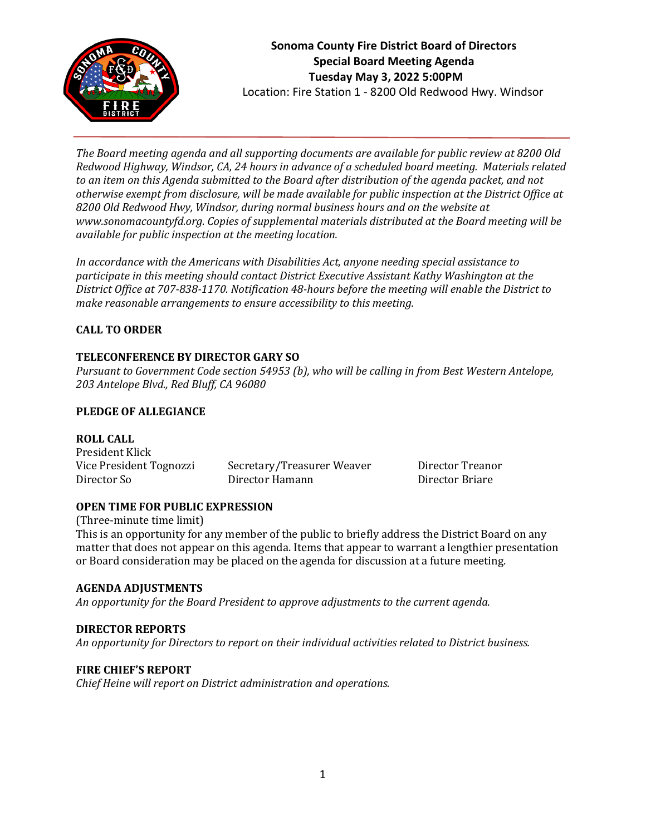

*The Board meeting agenda and all supporting documents are available for public review at 8200 Old Redwood Highway, Windsor, CA, 24 hours in advance of a scheduled board meeting. Materials related to an item on this Agenda submitted to the Board after distribution of the agenda packet, and not otherwise exempt from disclosure, will be made available for public inspection at the District Office at 8200 Old Redwood Hwy, Windsor, during normal business hours and on the website at www.sonomacountyfd.org. Copies of supplemental materials distributed at the Board meeting will be available for public inspection at the meeting location.*

*In accordance with the Americans with Disabilities Act, anyone needing special assistance to participate in this meeting should contact District Executive Assistant Kathy Washington at the District Office at 707-838-1170. Notification 48-hours before the meeting will enable the District to make reasonable arrangements to ensure accessibility to this meeting.*

## **CALL TO ORDER**

## **TELECONFERENCE BY DIRECTOR GARY SO**

*Pursuant to Government Code section 54953 (b), who will be calling in from Best Western Antelope, 203 Antelope Blvd., Red Bluff, CA 96080*

#### **PLEDGE OF ALLEGIANCE**

#### **ROLL CALL**

| President Klick         |                            |
|-------------------------|----------------------------|
| Vice President Tognozzi | Secretary/Treasurer Weaver |
| Director So             | Director Hamann            |

Director Treanor Director Briare

## **OPEN TIME FOR PUBLIC EXPRESSION**

(Three-minute time limit) This is an opportunity for any member of the public to briefly address the District Board on any matter that does not appear on this agenda. Items that appear to warrant a lengthier presentation or Board consideration may be placed on the agenda for discussion at a future meeting.

#### **AGENDA ADJUSTMENTS**

*An opportunity for the Board President to approve adjustments to the current agenda.*

## **DIRECTOR REPORTS**

*An opportunity for Directors to report on their individual activities related to District business.*

#### **FIRE CHIEF'S REPORT**

*Chief Heine will report on District administration and operations.*